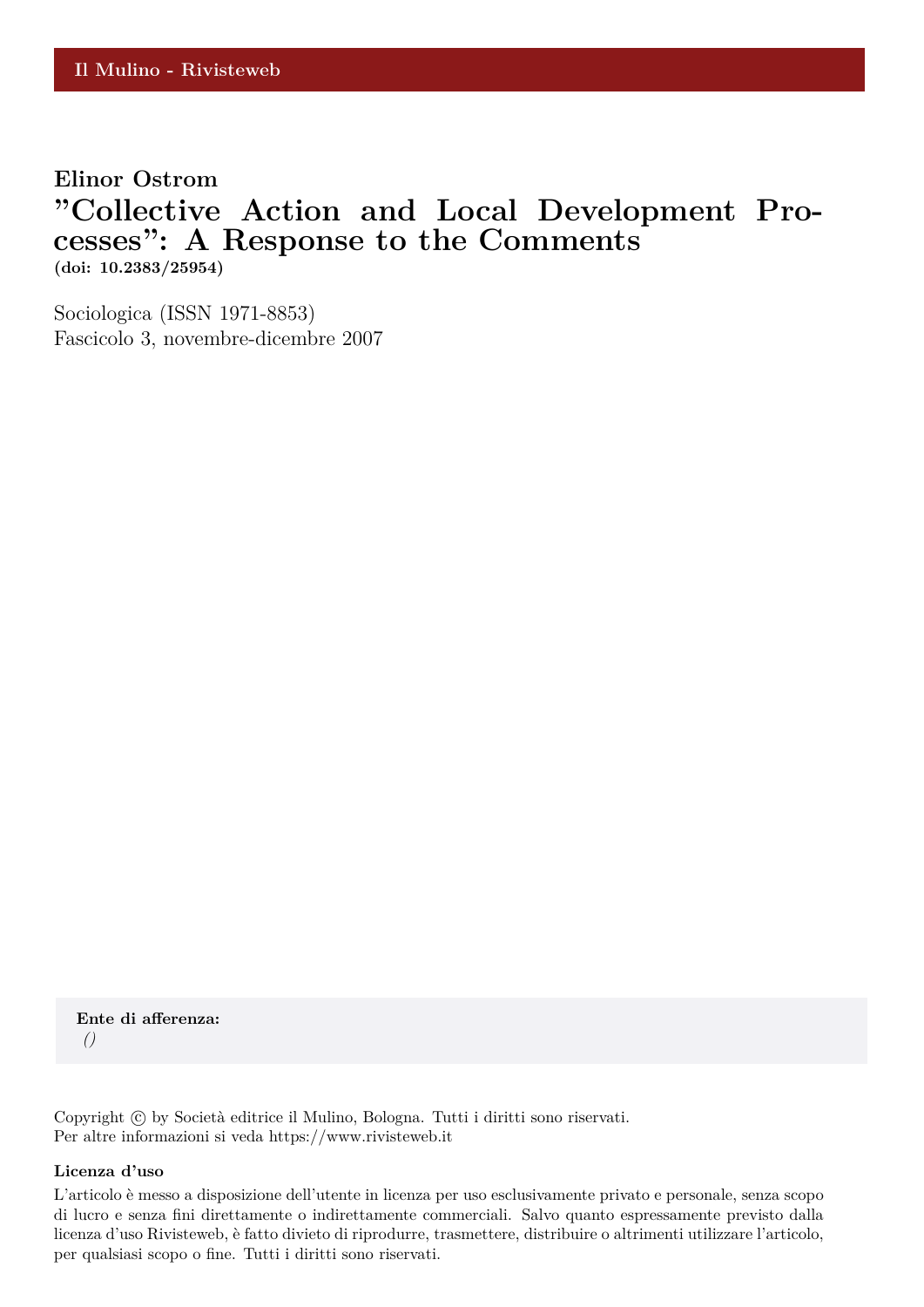## **Elinor Ostrom**

## **"Collective Action and Local Development Processes": A Response to the Comments (doi: 10.2383/25954)**

Sociologica (ISSN 1971-8853) Fascicolo 3, novembre-dicembre 2007

**Ente di afferenza:** *()*

Copyright © by Società editrice il Mulino, Bologna. Tutti i diritti sono riservati. Per altre informazioni si veda https://www.rivisteweb.it

#### **Licenza d'uso**

L'articolo è messo a disposizione dell'utente in licenza per uso esclusivamente privato e personale, senza scopo di lucro e senza fini direttamente o indirettamente commerciali. Salvo quanto espressamente previsto dalla licenza d'uso Rivisteweb, è fatto divieto di riprodurre, trasmettere, distribuire o altrimenti utilizzare l'articolo, per qualsiasi scopo o fine. Tutti i diritti sono riservati.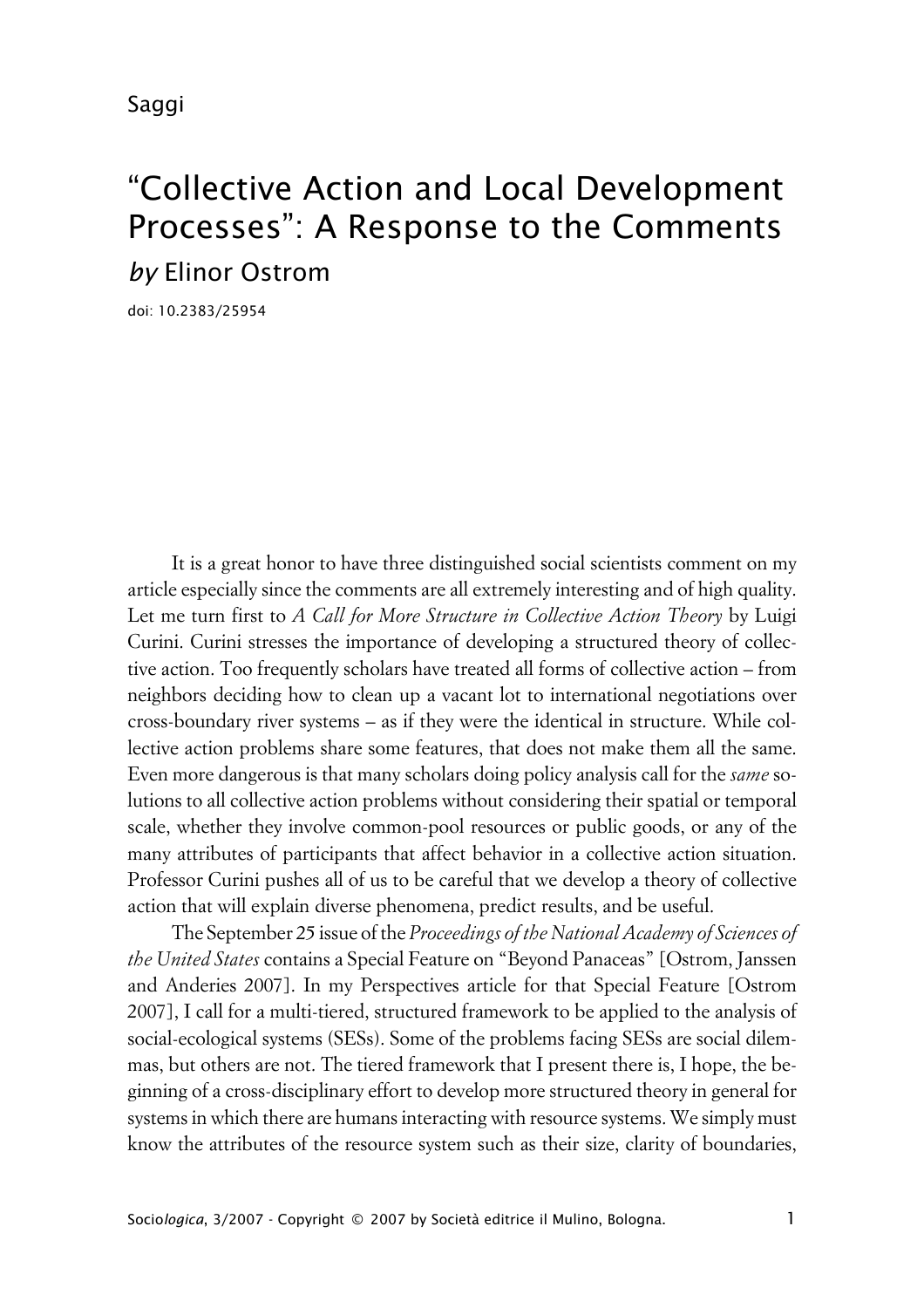# "Collective Action and Local Development Processes": A Response to the Comments *by* Elinor Ostrom

doi: 10.2383/25954

It is a great honor to have three distinguished social scientists comment on my article especially since the comments are all extremely interesting and of high quality. Let me turn first to *A Call for More Structure in Collective Action Theory* by Luigi Curini. Curini stresses the importance of developing a structured theory of collective action. Too frequently scholars have treated all forms of collective action – from neighbors deciding how to clean up a vacant lot to international negotiations over cross-boundary river systems – as if they were the identical in structure. While collective action problems share some features, that does not make them all the same. Even more dangerous is that many scholars doing policy analysis call for the *same* solutions to all collective action problems without considering their spatial or temporal scale, whether they involve common-pool resources or public goods, or any of the many attributes of participants that affect behavior in a collective action situation. Professor Curini pushes all of us to be careful that we develop a theory of collective action that will explain diverse phenomena, predict results, and be useful.

The September 25 issue of the *Proceedings of the National Academy of Sciences of the United States* contains a Special Feature on "Beyond Panaceas" [Ostrom, Janssen and Anderies 2007]. In my Perspectives article for that Special Feature [Ostrom 2007], I call for a multi-tiered, structured framework to be applied to the analysis of social-ecological systems (SESs). Some of the problems facing SESs are social dilemmas, but others are not. The tiered framework that I present there is, I hope, the beginning of a cross-disciplinary effort to develop more structured theory in general for systems in which there are humans interacting with resource systems. We simply must know the attributes of the resource system such as their size, clarity of boundaries,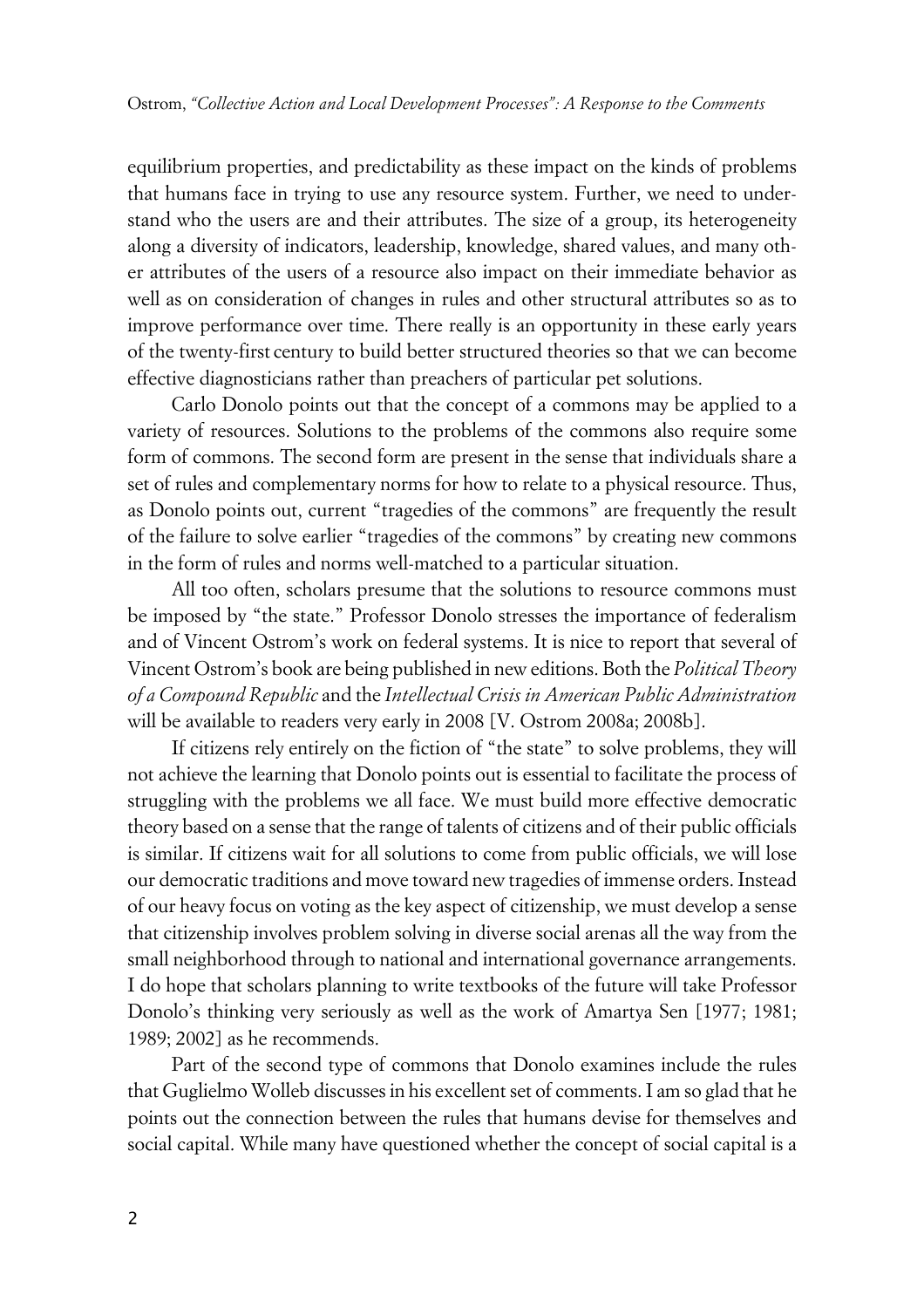equilibrium properties, and predictability as these impact on the kinds of problems that humans face in trying to use any resource system. Further, we need to understand who the users are and their attributes. The size of a group, its heterogeneity along a diversity of indicators, leadership, knowledge, shared values, and many other attributes of the users of a resource also impact on their immediate behavior as well as on consideration of changes in rules and other structural attributes so as to improve performance over time. There really is an opportunity in these early years of the twenty-first century to build better structured theories so that we can become effective diagnosticians rather than preachers of particular pet solutions.

Carlo Donolo points out that the concept of a commons may be applied to a variety of resources. Solutions to the problems of the commons also require some form of commons. The second form are present in the sense that individuals share a set of rules and complementary norms for how to relate to a physical resource. Thus, as Donolo points out, current "tragedies of the commons" are frequently the result of the failure to solve earlier "tragedies of the commons" by creating new commons in the form of rules and norms well-matched to a particular situation.

All too often, scholars presume that the solutions to resource commons must be imposed by "the state." Professor Donolo stresses the importance of federalism and of Vincent Ostrom's work on federal systems. It is nice to report that several of Vincent Ostrom's book are being published in new editions. Both the *Political Theory of a Compound Republic* and the *Intellectual Crisis in American Public Administration* will be available to readers very early in 2008 [V. Ostrom 2008a; 2008b].

If citizens rely entirely on the fiction of "the state" to solve problems, they will not achieve the learning that Donolo points out is essential to facilitate the process of struggling with the problems we all face. We must build more effective democratic theory based on a sense that the range of talents of citizens and of their public officials is similar. If citizens wait for all solutions to come from public officials, we will lose our democratic traditions and move toward new tragedies of immense orders. Instead of our heavy focus on voting as the key aspect of citizenship, we must develop a sense that citizenship involves problem solving in diverse social arenas all the way from the small neighborhood through to national and international governance arrangements. I do hope that scholars planning to write textbooks of the future will take Professor Donolo's thinking very seriously as well as the work of Amartya Sen [1977; 1981; 1989; 2002] as he recommends.

Part of the second type of commons that Donolo examines include the rules that Guglielmo Wolleb discusses in his excellent set of comments. I am so glad that he points out the connection between the rules that humans devise for themselves and social capital. While many have questioned whether the concept of social capital is a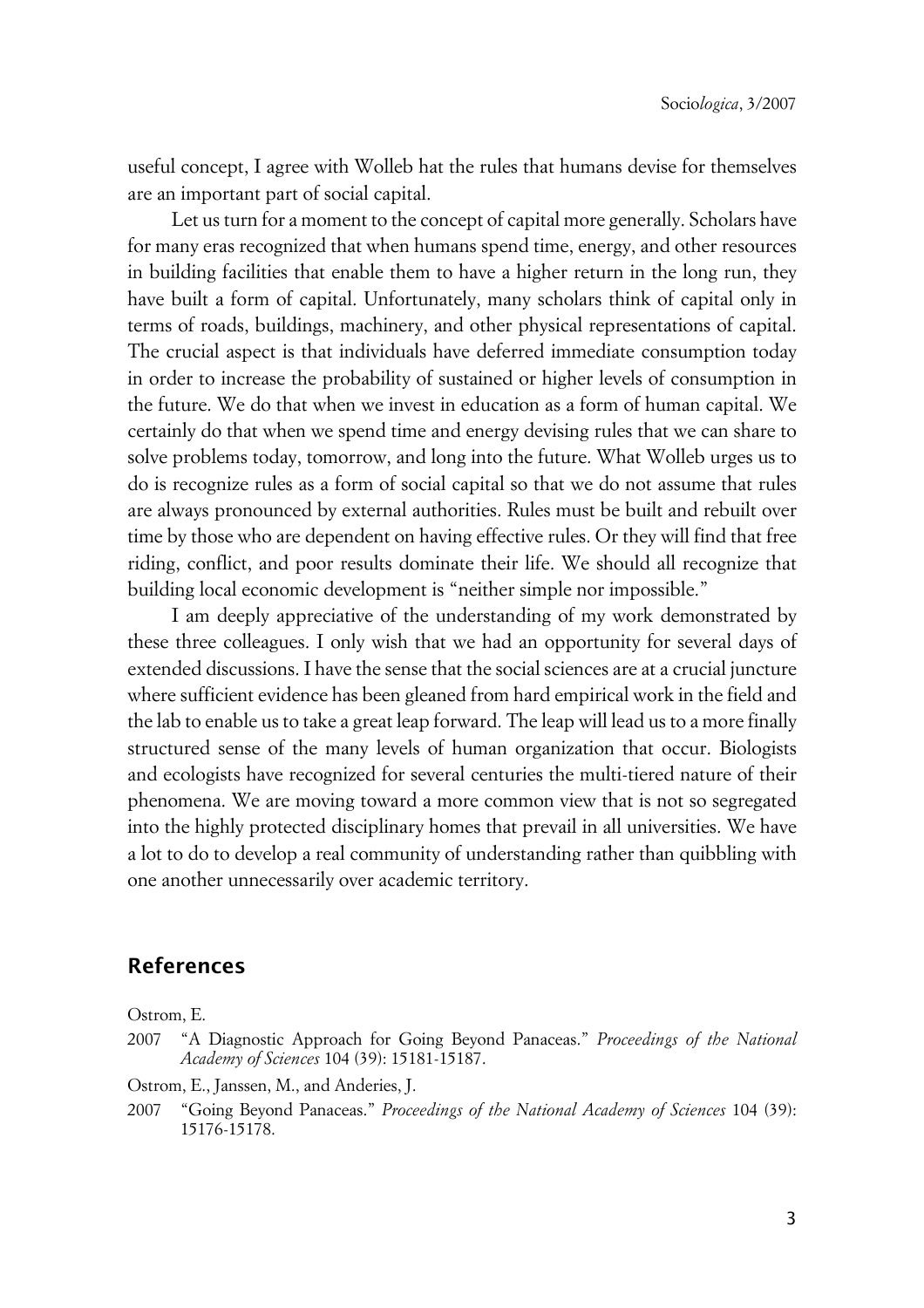useful concept, I agree with Wolleb hat the rules that humans devise for themselves are an important part of social capital.

Let us turn for a moment to the concept of capital more generally. Scholars have for many eras recognized that when humans spend time, energy, and other resources in building facilities that enable them to have a higher return in the long run, they have built a form of capital. Unfortunately, many scholars think of capital only in terms of roads, buildings, machinery, and other physical representations of capital. The crucial aspect is that individuals have deferred immediate consumption today in order to increase the probability of sustained or higher levels of consumption in the future. We do that when we invest in education as a form of human capital. We certainly do that when we spend time and energy devising rules that we can share to solve problems today, tomorrow, and long into the future. What Wolleb urges us to do is recognize rules as a form of social capital so that we do not assume that rules are always pronounced by external authorities. Rules must be built and rebuilt over time by those who are dependent on having effective rules. Or they will find that free riding, conflict, and poor results dominate their life. We should all recognize that building local economic development is "neither simple nor impossible."

I am deeply appreciative of the understanding of my work demonstrated by these three colleagues. I only wish that we had an opportunity for several days of extended discussions. I have the sense that the social sciences are at a crucial juncture where sufficient evidence has been gleaned from hard empirical work in the field and the lab to enable us to take a great leap forward. The leap will lead us to a more finally structured sense of the many levels of human organization that occur. Biologists and ecologists have recognized for several centuries the multi-tiered nature of their phenomena. We are moving toward a more common view that is not so segregated into the highly protected disciplinary homes that prevail in all universities. We have a lot to do to develop a real community of understanding rather than quibbling with one another unnecessarily over academic territory.

### **References**

Ostrom, E.

- 2007 "A Diagnostic Approach for Going Beyond Panaceas." *Proceedings of the National Academy of Sciences* 104 (39): 15181-15187.
- Ostrom, E., Janssen, M., and Anderies, J.
- 2007 "Going Beyond Panaceas." *Proceedings of the National Academy of Sciences* 104 (39): 15176-15178.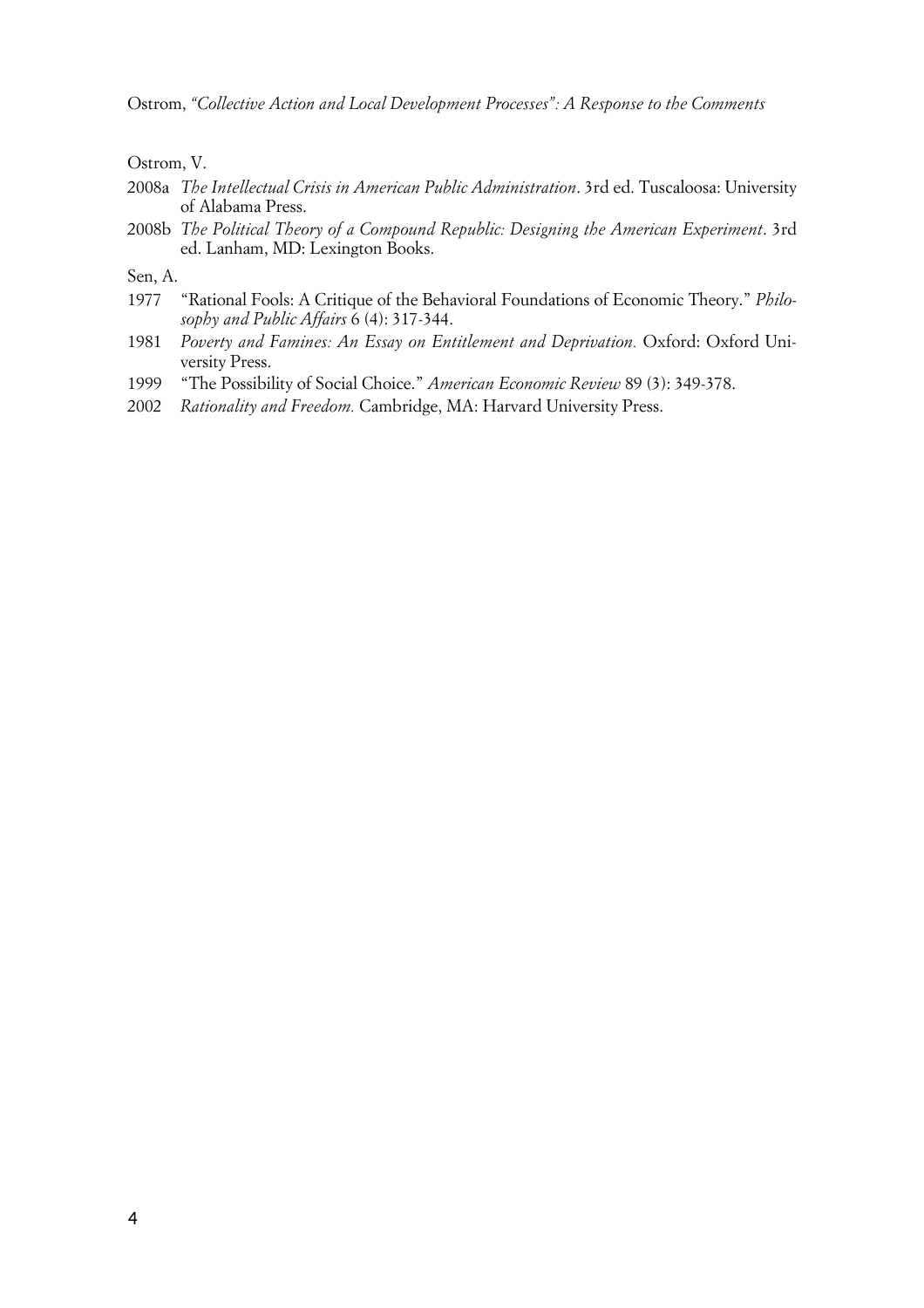Ostrom, *"Collective Action and Local Development Processes": A Response to the Comments*

Ostrom, V.

- 2008a *The Intellectual Crisis in American Public Administration*. 3rd ed. Tuscaloosa: University of Alabama Press.
- 2008b *The Political Theory of a Compound Republic: Designing the American Experiment*. 3rd ed. Lanham, MD: Lexington Books.

Sen, A.

- 1977 "Rational Fools: A Critique of the Behavioral Foundations of Economic Theory." *Philosophy and Public Affairs* 6 (4): 317-344.
- 1981 *Poverty and Famines: An Essay on Entitlement and Deprivation.* Oxford: Oxford University Press.
- 1999 "The Possibility of Social Choice." *American Economic Review* 89 (3): 349-378.
- 2002 *Rationality and Freedom.* Cambridge, MA: Harvard University Press.